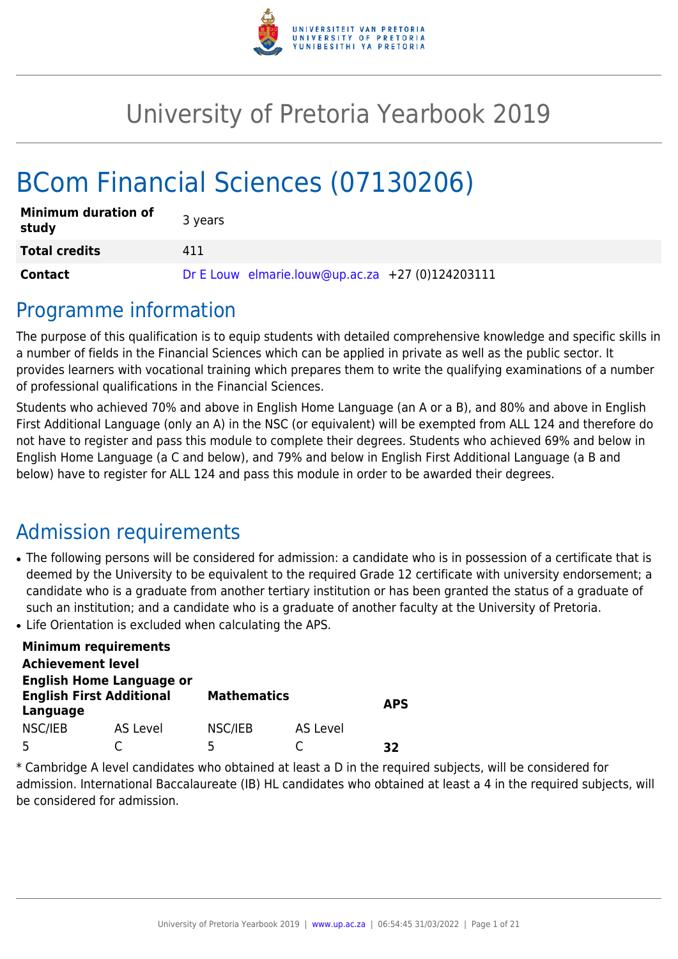

# University of Pretoria Yearbook 2019

# BCom Financial Sciences (07130206)

| <b>Minimum duration of</b><br>study | 3 years                                          |
|-------------------------------------|--------------------------------------------------|
| <b>Total credits</b>                | 411                                              |
| <b>Contact</b>                      | Dr E Louw elmarie.louw@up.ac.za +27 (0)124203111 |

## Programme information

The purpose of this qualification is to equip students with detailed comprehensive knowledge and specific skills in a number of fields in the Financial Sciences which can be applied in private as well as the public sector. It provides learners with vocational training which prepares them to write the qualifying examinations of a number of professional qualifications in the Financial Sciences.

Students who achieved 70% and above in English Home Language (an A or a B), and 80% and above in English First Additional Language (only an A) in the NSC (or equivalent) will be exempted from ALL 124 and therefore do not have to register and pass this module to complete their degrees. Students who achieved 69% and below in English Home Language (a C and below), and 79% and below in English First Additional Language (a B and below) have to register for ALL 124 and pass this module in order to be awarded their degrees.

## Admission requirements

- The following persons will be considered for admission: a candidate who is in possession of a certificate that is deemed by the University to be equivalent to the required Grade 12 certificate with university endorsement; a candidate who is a graduate from another tertiary institution or has been granted the status of a graduate of such an institution; and a candidate who is a graduate of another faculty at the University of Pretoria.
- Life Orientation is excluded when calculating the APS.

|                          | <b>Minimum requirements</b>                                        |                    |          |            |
|--------------------------|--------------------------------------------------------------------|--------------------|----------|------------|
| <b>Achievement level</b> |                                                                    |                    |          |            |
| Language                 | <b>English Home Language or</b><br><b>English First Additional</b> | <b>Mathematics</b> |          | <b>APS</b> |
| NSC/IEB                  | AS Level                                                           | NSC/IEB            | AS Level |            |
|                          |                                                                    | 5                  |          | マフ         |

\* Cambridge A level candidates who obtained at least a D in the required subjects, will be considered for admission. International Baccalaureate (IB) HL candidates who obtained at least a 4 in the required subjects, will be considered for admission.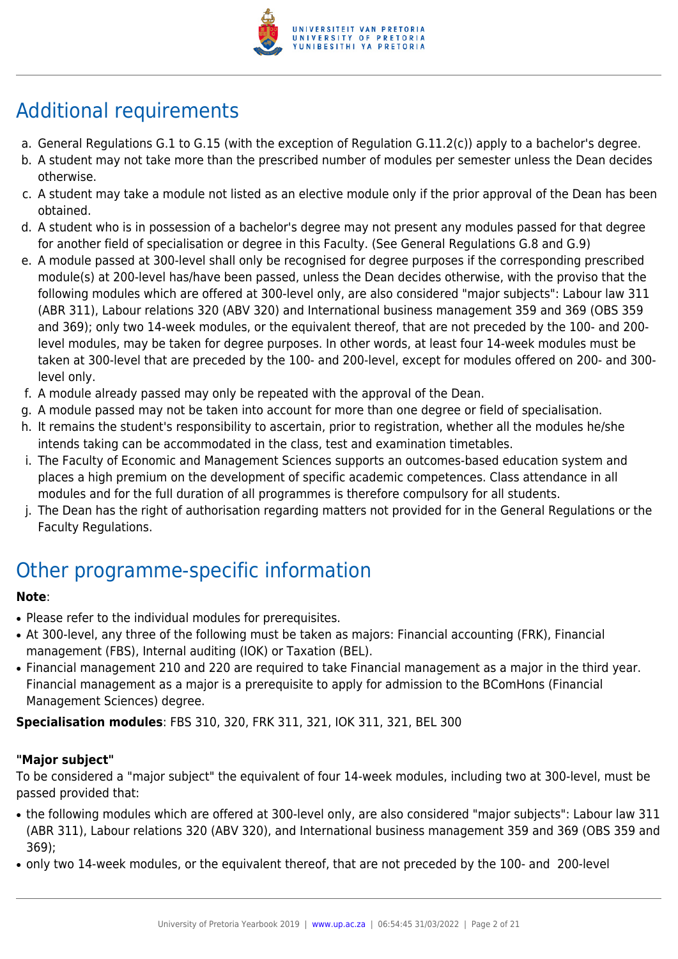

## Additional requirements

- a. General Regulations G.1 to G.15 (with the exception of Regulation G.11.2(c)) apply to a bachelor's degree.
- b. A student may not take more than the prescribed number of modules per semester unless the Dean decides otherwise.
- c. A student may take a module not listed as an elective module only if the prior approval of the Dean has been obtained.
- d. A student who is in possession of a bachelor's degree may not present any modules passed for that degree for another field of specialisation or degree in this Faculty. (See General Regulations G.8 and G.9)
- e. A module passed at 300-level shall only be recognised for degree purposes if the corresponding prescribed module(s) at 200-level has/have been passed, unless the Dean decides otherwise, with the proviso that the following modules which are offered at 300-level only, are also considered "major subjects": Labour law 311 (ABR 311), Labour relations 320 (ABV 320) and International business management 359 and 369 (OBS 359 and 369); only two 14-week modules, or the equivalent thereof, that are not preceded by the 100- and 200 level modules, may be taken for degree purposes. In other words, at least four 14-week modules must be taken at 300-level that are preceded by the 100- and 200-level, except for modules offered on 200- and 300 level only.
- f. A module already passed may only be repeated with the approval of the Dean.
- g. A module passed may not be taken into account for more than one degree or field of specialisation.
- h. It remains the student's responsibility to ascertain, prior to registration, whether all the modules he/she intends taking can be accommodated in the class, test and examination timetables.
- i. The Faculty of Economic and Management Sciences supports an outcomes-based education system and places a high premium on the development of specific academic competences. Class attendance in all modules and for the full duration of all programmes is therefore compulsory for all students.
- j. The Dean has the right of authorisation regarding matters not provided for in the General Regulations or the Faculty Regulations.

## Other programme-specific information

## **Note**:

- Please refer to the individual modules for prerequisites.
- At 300-level, any three of the following must be taken as majors: Financial accounting (FRK), Financial management (FBS), Internal auditing (IOK) or Taxation (BEL).
- Financial management 210 and 220 are required to take Financial management as a major in the third year. Financial management as a major is a prerequisite to apply for admission to the BComHons (Financial Management Sciences) degree.

**Specialisation modules**: FBS 310, 320, FRK 311, 321, IOK 311, 321, BEL 300

## **"Major subject"**

To be considered a "major subject" the equivalent of four 14-week modules, including two at 300-level, must be passed provided that:

- the following modules which are offered at 300-level only, are also considered "major subjects": Labour law 311 (ABR 311), Labour relations 320 (ABV 320), and International business management 359 and 369 (OBS 359 and 369);
- only two 14-week modules, or the equivalent thereof, that are not preceded by the 100- and 200-level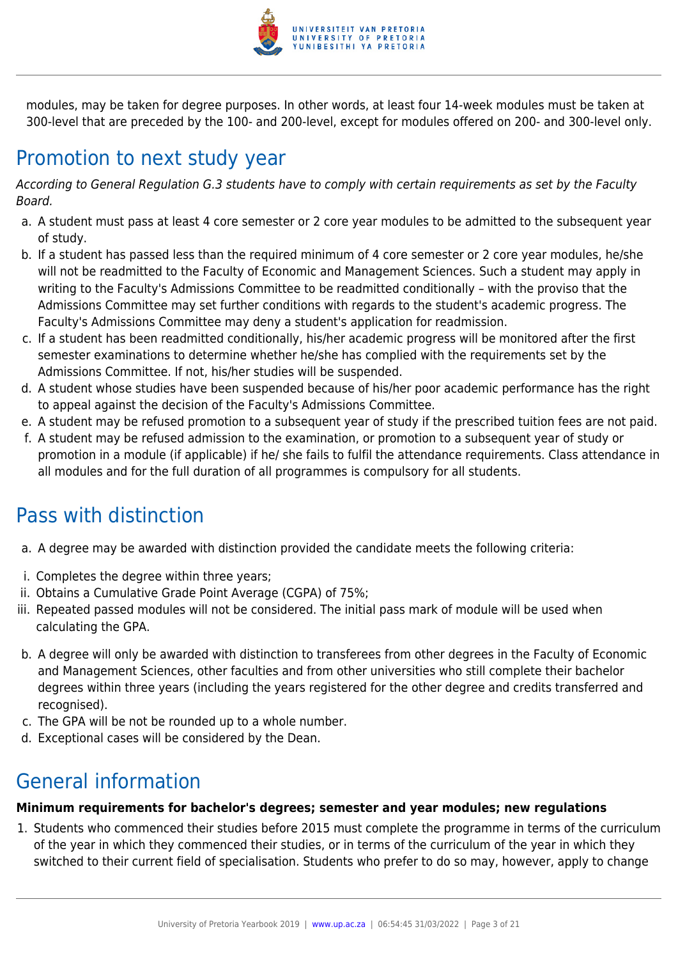

modules, may be taken for degree purposes. In other words, at least four 14-week modules must be taken at 300-level that are preceded by the 100- and 200-level, except for modules offered on 200- and 300-level only.

## Promotion to next study year

According to General Regulation G.3 students have to comply with certain requirements as set by the Faculty Board.

- a. A student must pass at least 4 core semester or 2 core year modules to be admitted to the subsequent year of study.
- b. If a student has passed less than the required minimum of 4 core semester or 2 core year modules, he/she will not be readmitted to the Faculty of Economic and Management Sciences. Such a student may apply in writing to the Faculty's Admissions Committee to be readmitted conditionally – with the proviso that the Admissions Committee may set further conditions with regards to the student's academic progress. The Faculty's Admissions Committee may deny a student's application for readmission.
- c. If a student has been readmitted conditionally, his/her academic progress will be monitored after the first semester examinations to determine whether he/she has complied with the requirements set by the Admissions Committee. If not, his/her studies will be suspended.
- d. A student whose studies have been suspended because of his/her poor academic performance has the right to appeal against the decision of the Faculty's Admissions Committee.
- e. A student may be refused promotion to a subsequent year of study if the prescribed tuition fees are not paid.
- f. A student may be refused admission to the examination, or promotion to a subsequent year of study or promotion in a module (if applicable) if he/ she fails to fulfil the attendance requirements. Class attendance in all modules and for the full duration of all programmes is compulsory for all students.

## Pass with distinction

- a. A degree may be awarded with distinction provided the candidate meets the following criteria:
- i. Completes the degree within three years;
- ii. Obtains a Cumulative Grade Point Average (CGPA) of 75%;
- iii. Repeated passed modules will not be considered. The initial pass mark of module will be used when calculating the GPA.
- b. A degree will only be awarded with distinction to transferees from other degrees in the Faculty of Economic and Management Sciences, other faculties and from other universities who still complete their bachelor degrees within three years (including the years registered for the other degree and credits transferred and recognised).
- c. The GPA will be not be rounded up to a whole number.
- d. Exceptional cases will be considered by the Dean.

## General information

## **Minimum requirements for bachelor's degrees; semester and year modules; new regulations**

1. Students who commenced their studies before 2015 must complete the programme in terms of the curriculum of the year in which they commenced their studies, or in terms of the curriculum of the year in which they switched to their current field of specialisation. Students who prefer to do so may, however, apply to change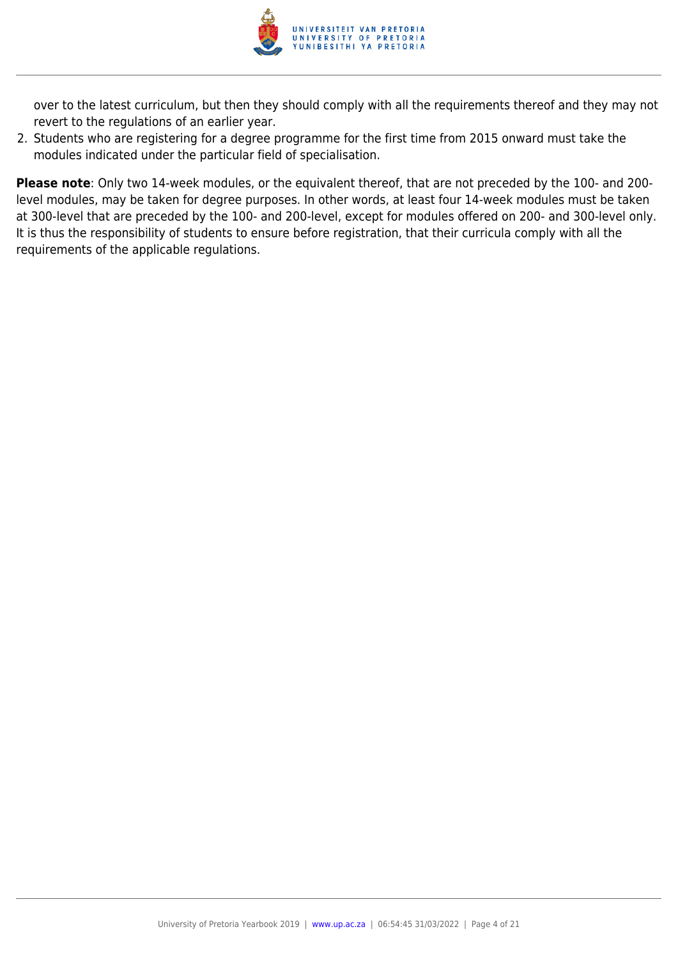

over to the latest curriculum, but then they should comply with all the requirements thereof and they may not revert to the regulations of an earlier year.

2. Students who are registering for a degree programme for the first time from 2015 onward must take the modules indicated under the particular field of specialisation.

**Please note**: Only two 14-week modules, or the equivalent thereof, that are not preceded by the 100- and 200 level modules, may be taken for degree purposes. In other words, at least four 14-week modules must be taken at 300-level that are preceded by the 100- and 200-level, except for modules offered on 200- and 300-level only. It is thus the responsibility of students to ensure before registration, that their curricula comply with all the requirements of the applicable regulations.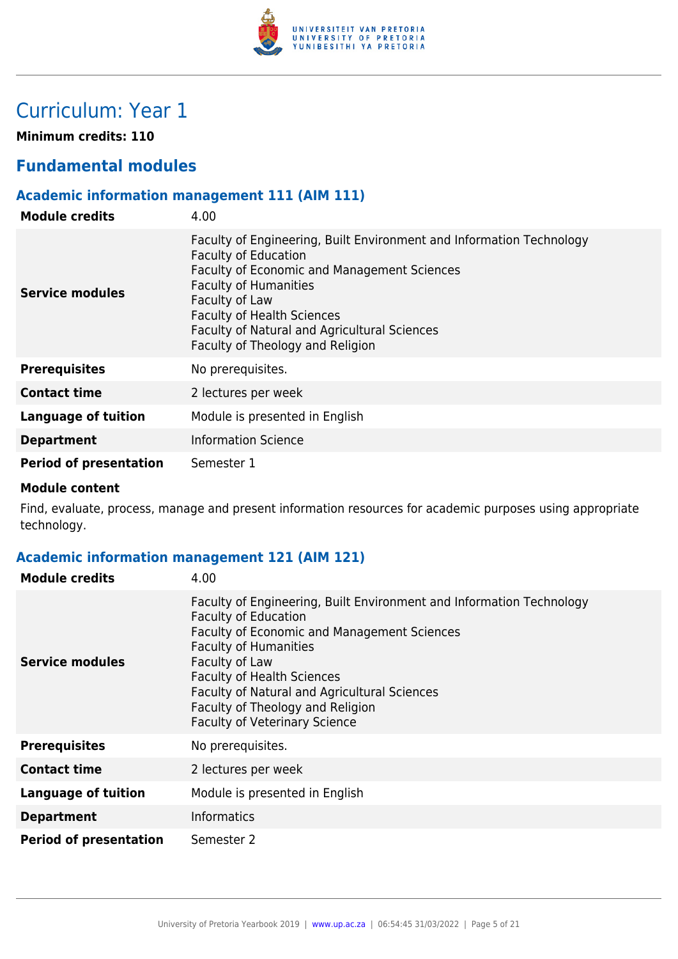

## Curriculum: Year 1

**Minimum credits: 110**

## **Fundamental modules**

## **Academic information management 111 (AIM 111)**

| <b>Module credits</b>         | 4.00                                                                                                                                                                                                                                                                                                                          |
|-------------------------------|-------------------------------------------------------------------------------------------------------------------------------------------------------------------------------------------------------------------------------------------------------------------------------------------------------------------------------|
| Service modules               | Faculty of Engineering, Built Environment and Information Technology<br><b>Faculty of Education</b><br>Faculty of Economic and Management Sciences<br><b>Faculty of Humanities</b><br>Faculty of Law<br><b>Faculty of Health Sciences</b><br>Faculty of Natural and Agricultural Sciences<br>Faculty of Theology and Religion |
| <b>Prerequisites</b>          | No prerequisites.                                                                                                                                                                                                                                                                                                             |
| <b>Contact time</b>           | 2 lectures per week                                                                                                                                                                                                                                                                                                           |
| Language of tuition           | Module is presented in English                                                                                                                                                                                                                                                                                                |
| <b>Department</b>             | <b>Information Science</b>                                                                                                                                                                                                                                                                                                    |
| <b>Period of presentation</b> | Semester 1                                                                                                                                                                                                                                                                                                                    |

#### **Module content**

Find, evaluate, process, manage and present information resources for academic purposes using appropriate technology.

## **Academic information management 121 (AIM 121)**

| <b>Module credits</b>         | 4.00                                                                                                                                                                                                                                                                                                                                                                  |
|-------------------------------|-----------------------------------------------------------------------------------------------------------------------------------------------------------------------------------------------------------------------------------------------------------------------------------------------------------------------------------------------------------------------|
| Service modules               | Faculty of Engineering, Built Environment and Information Technology<br><b>Faculty of Education</b><br>Faculty of Economic and Management Sciences<br><b>Faculty of Humanities</b><br>Faculty of Law<br><b>Faculty of Health Sciences</b><br>Faculty of Natural and Agricultural Sciences<br>Faculty of Theology and Religion<br><b>Faculty of Veterinary Science</b> |
| <b>Prerequisites</b>          | No prerequisites.                                                                                                                                                                                                                                                                                                                                                     |
| <b>Contact time</b>           | 2 lectures per week                                                                                                                                                                                                                                                                                                                                                   |
| <b>Language of tuition</b>    | Module is presented in English                                                                                                                                                                                                                                                                                                                                        |
| <b>Department</b>             | <b>Informatics</b>                                                                                                                                                                                                                                                                                                                                                    |
| <b>Period of presentation</b> | Semester 2                                                                                                                                                                                                                                                                                                                                                            |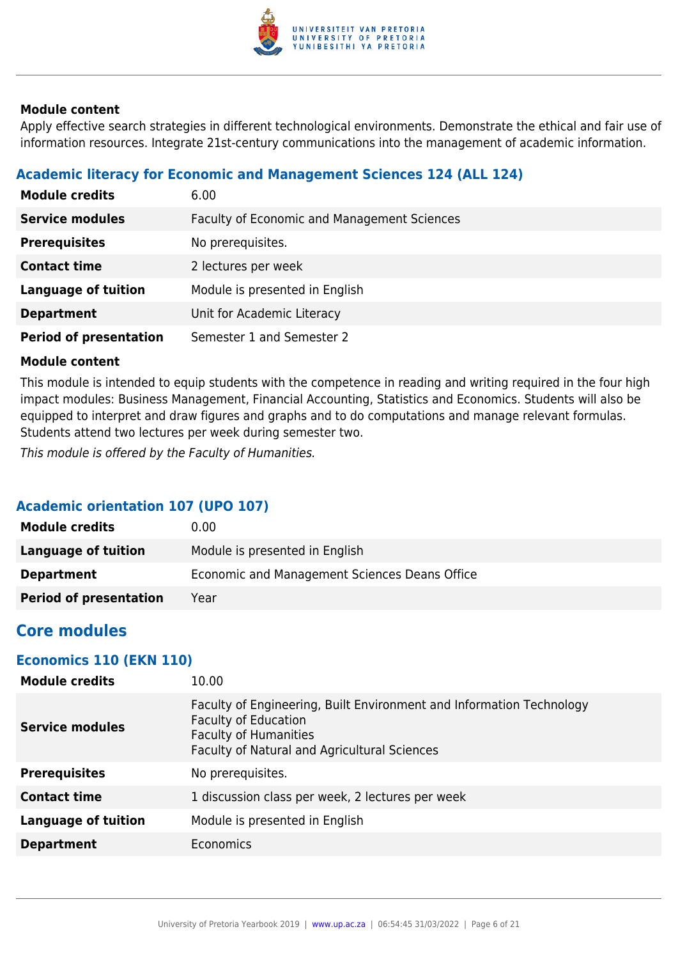

Apply effective search strategies in different technological environments. Demonstrate the ethical and fair use of information resources. Integrate 21st-century communications into the management of academic information.

## **Academic literacy for Economic and Management Sciences 124 (ALL 124)**

| <b>Module credits</b>         | 6.00                                               |
|-------------------------------|----------------------------------------------------|
| <b>Service modules</b>        | <b>Faculty of Economic and Management Sciences</b> |
| <b>Prerequisites</b>          | No prerequisites.                                  |
| <b>Contact time</b>           | 2 lectures per week                                |
| <b>Language of tuition</b>    | Module is presented in English                     |
| <b>Department</b>             | Unit for Academic Literacy                         |
| <b>Period of presentation</b> | Semester 1 and Semester 2                          |

### **Module content**

This module is intended to equip students with the competence in reading and writing required in the four high impact modules: Business Management, Financial Accounting, Statistics and Economics. Students will also be equipped to interpret and draw figures and graphs and to do computations and manage relevant formulas. Students attend two lectures per week during semester two.

This module is offered by the Faculty of Humanities.

## **Academic orientation 107 (UPO 107)**

| <b>Module credits</b>         | 0.00                                          |
|-------------------------------|-----------------------------------------------|
| Language of tuition           | Module is presented in English                |
| <b>Department</b>             | Economic and Management Sciences Deans Office |
| <b>Period of presentation</b> | Year                                          |

## **Core modules**

## **Economics 110 (EKN 110)**

| <b>Module credits</b>      | 10.00                                                                                                                                                                               |
|----------------------------|-------------------------------------------------------------------------------------------------------------------------------------------------------------------------------------|
| <b>Service modules</b>     | Faculty of Engineering, Built Environment and Information Technology<br><b>Faculty of Education</b><br><b>Faculty of Humanities</b><br>Faculty of Natural and Agricultural Sciences |
| <b>Prerequisites</b>       | No prerequisites.                                                                                                                                                                   |
| <b>Contact time</b>        | 1 discussion class per week, 2 lectures per week                                                                                                                                    |
| <b>Language of tuition</b> | Module is presented in English                                                                                                                                                      |
| <b>Department</b>          | <b>Economics</b>                                                                                                                                                                    |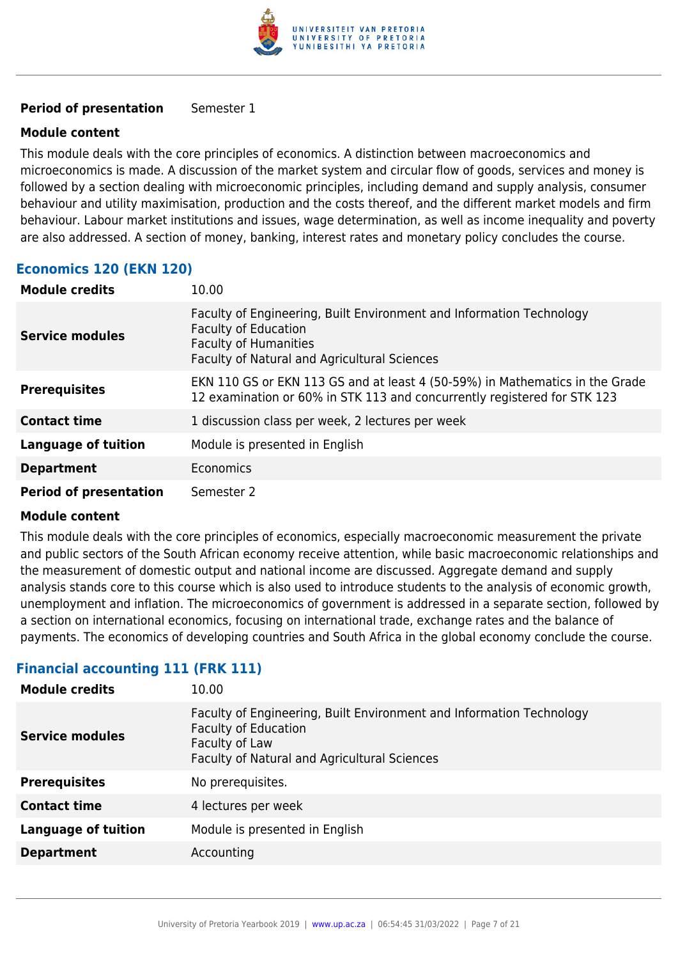

#### **Period of presentation** Semester 1

#### **Module content**

This module deals with the core principles of economics. A distinction between macroeconomics and microeconomics is made. A discussion of the market system and circular flow of goods, services and money is followed by a section dealing with microeconomic principles, including demand and supply analysis, consumer behaviour and utility maximisation, production and the costs thereof, and the different market models and firm behaviour. Labour market institutions and issues, wage determination, as well as income inequality and poverty are also addressed. A section of money, banking, interest rates and monetary policy concludes the course.

## **Economics 120 (EKN 120)**

| <b>Module credits</b>         | 10.00                                                                                                                                                                               |
|-------------------------------|-------------------------------------------------------------------------------------------------------------------------------------------------------------------------------------|
| <b>Service modules</b>        | Faculty of Engineering, Built Environment and Information Technology<br><b>Faculty of Education</b><br><b>Faculty of Humanities</b><br>Faculty of Natural and Agricultural Sciences |
| <b>Prerequisites</b>          | EKN 110 GS or EKN 113 GS and at least 4 (50-59%) in Mathematics in the Grade<br>12 examination or 60% in STK 113 and concurrently registered for STK 123                            |
| <b>Contact time</b>           | 1 discussion class per week, 2 lectures per week                                                                                                                                    |
| <b>Language of tuition</b>    | Module is presented in English                                                                                                                                                      |
| <b>Department</b>             | <b>Economics</b>                                                                                                                                                                    |
| <b>Period of presentation</b> | Semester 2                                                                                                                                                                          |

#### **Module content**

This module deals with the core principles of economics, especially macroeconomic measurement the private and public sectors of the South African economy receive attention, while basic macroeconomic relationships and the measurement of domestic output and national income are discussed. Aggregate demand and supply analysis stands core to this course which is also used to introduce students to the analysis of economic growth, unemployment and inflation. The microeconomics of government is addressed in a separate section, followed by a section on international economics, focusing on international trade, exchange rates and the balance of payments. The economics of developing countries and South Africa in the global economy conclude the course.

## **Financial accounting 111 (FRK 111)**

| <b>Module credits</b>      | 10.00                                                                                                                                                                        |
|----------------------------|------------------------------------------------------------------------------------------------------------------------------------------------------------------------------|
| <b>Service modules</b>     | Faculty of Engineering, Built Environment and Information Technology<br><b>Faculty of Education</b><br>Faculty of Law<br><b>Faculty of Natural and Agricultural Sciences</b> |
| <b>Prerequisites</b>       | No prerequisites.                                                                                                                                                            |
| <b>Contact time</b>        | 4 lectures per week                                                                                                                                                          |
| <b>Language of tuition</b> | Module is presented in English                                                                                                                                               |
| <b>Department</b>          | Accounting                                                                                                                                                                   |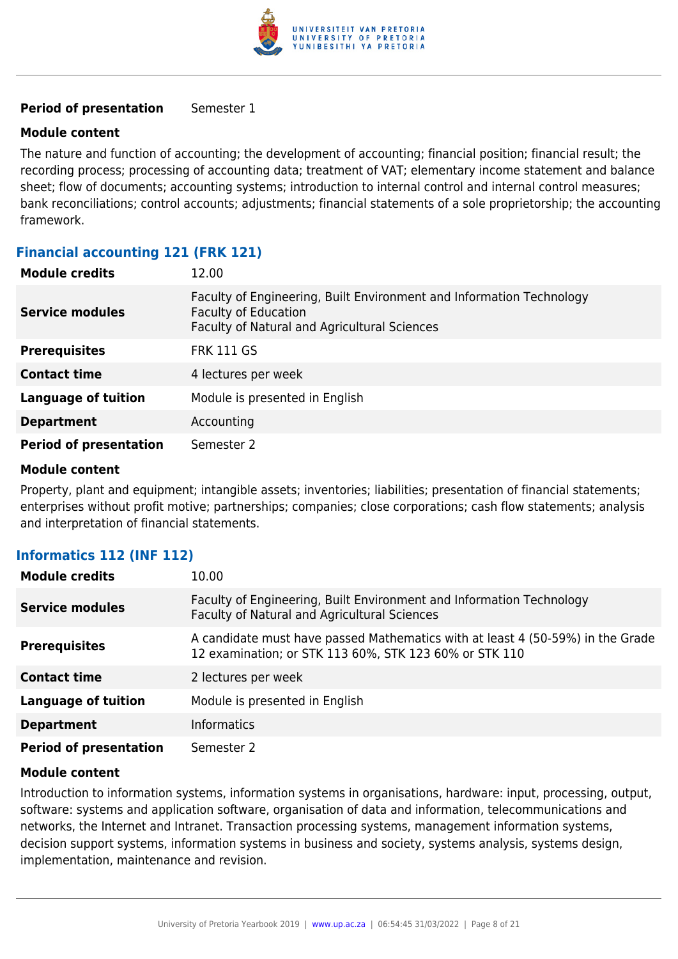

#### **Period of presentation** Semester 1

#### **Module content**

The nature and function of accounting; the development of accounting; financial position; financial result; the recording process; processing of accounting data; treatment of VAT; elementary income statement and balance sheet; flow of documents; accounting systems; introduction to internal control and internal control measures; bank reconciliations; control accounts; adjustments; financial statements of a sole proprietorship; the accounting framework.

## **Financial accounting 121 (FRK 121)**

| <b>Module credits</b>         | 12.00                                                                                                                                               |
|-------------------------------|-----------------------------------------------------------------------------------------------------------------------------------------------------|
| <b>Service modules</b>        | Faculty of Engineering, Built Environment and Information Technology<br><b>Faculty of Education</b><br>Faculty of Natural and Agricultural Sciences |
| <b>Prerequisites</b>          | <b>FRK 111 GS</b>                                                                                                                                   |
| <b>Contact time</b>           | 4 lectures per week                                                                                                                                 |
| <b>Language of tuition</b>    | Module is presented in English                                                                                                                      |
| <b>Department</b>             | Accounting                                                                                                                                          |
| <b>Period of presentation</b> | Semester 2                                                                                                                                          |

#### **Module content**

Property, plant and equipment; intangible assets; inventories; liabilities; presentation of financial statements; enterprises without profit motive; partnerships; companies; close corporations; cash flow statements; analysis and interpretation of financial statements.

#### **Informatics 112 (INF 112)**

| <b>Module credits</b>         | 10.00                                                                                                                                    |
|-------------------------------|------------------------------------------------------------------------------------------------------------------------------------------|
| <b>Service modules</b>        | Faculty of Engineering, Built Environment and Information Technology<br>Faculty of Natural and Agricultural Sciences                     |
| <b>Prerequisites</b>          | A candidate must have passed Mathematics with at least 4 (50-59%) in the Grade<br>12 examination; or STK 113 60%, STK 123 60% or STK 110 |
| <b>Contact time</b>           | 2 lectures per week                                                                                                                      |
| <b>Language of tuition</b>    | Module is presented in English                                                                                                           |
| <b>Department</b>             | <b>Informatics</b>                                                                                                                       |
| <b>Period of presentation</b> | Semester 2                                                                                                                               |

#### **Module content**

Introduction to information systems, information systems in organisations, hardware: input, processing, output, software: systems and application software, organisation of data and information, telecommunications and networks, the Internet and Intranet. Transaction processing systems, management information systems, decision support systems, information systems in business and society, systems analysis, systems design, implementation, maintenance and revision.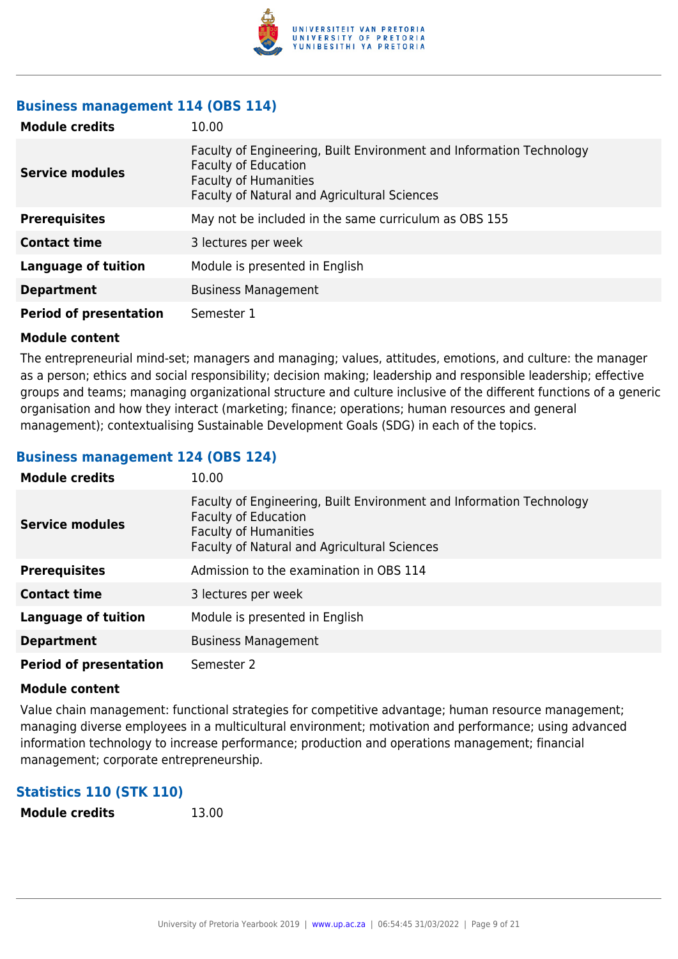

#### **Business management 114 (OBS 114)**

| <b>Module credits</b>         | 10.00                                                                                                                                                                               |
|-------------------------------|-------------------------------------------------------------------------------------------------------------------------------------------------------------------------------------|
| <b>Service modules</b>        | Faculty of Engineering, Built Environment and Information Technology<br><b>Faculty of Education</b><br><b>Faculty of Humanities</b><br>Faculty of Natural and Agricultural Sciences |
| <b>Prerequisites</b>          | May not be included in the same curriculum as OBS 155                                                                                                                               |
| <b>Contact time</b>           | 3 lectures per week                                                                                                                                                                 |
| <b>Language of tuition</b>    | Module is presented in English                                                                                                                                                      |
| <b>Department</b>             | <b>Business Management</b>                                                                                                                                                          |
| <b>Period of presentation</b> | Semester 1                                                                                                                                                                          |

#### **Module content**

The entrepreneurial mind-set; managers and managing; values, attitudes, emotions, and culture: the manager as a person; ethics and social responsibility; decision making; leadership and responsible leadership; effective groups and teams; managing organizational structure and culture inclusive of the different functions of a generic organisation and how they interact (marketing; finance; operations; human resources and general management); contextualising Sustainable Development Goals (SDG) in each of the topics.

## **Business management 124 (OBS 124)**

| <b>Module credits</b>         | 10.00                                                                                                                                                                                      |
|-------------------------------|--------------------------------------------------------------------------------------------------------------------------------------------------------------------------------------------|
| <b>Service modules</b>        | Faculty of Engineering, Built Environment and Information Technology<br><b>Faculty of Education</b><br><b>Faculty of Humanities</b><br><b>Faculty of Natural and Agricultural Sciences</b> |
| <b>Prerequisites</b>          | Admission to the examination in OBS 114                                                                                                                                                    |
| <b>Contact time</b>           | 3 lectures per week                                                                                                                                                                        |
| <b>Language of tuition</b>    | Module is presented in English                                                                                                                                                             |
| <b>Department</b>             | <b>Business Management</b>                                                                                                                                                                 |
| <b>Period of presentation</b> | Semester 2                                                                                                                                                                                 |

#### **Module content**

Value chain management: functional strategies for competitive advantage; human resource management; managing diverse employees in a multicultural environment; motivation and performance; using advanced information technology to increase performance; production and operations management; financial management; corporate entrepreneurship.

## **Statistics 110 (STK 110)**

**Module credits** 13.00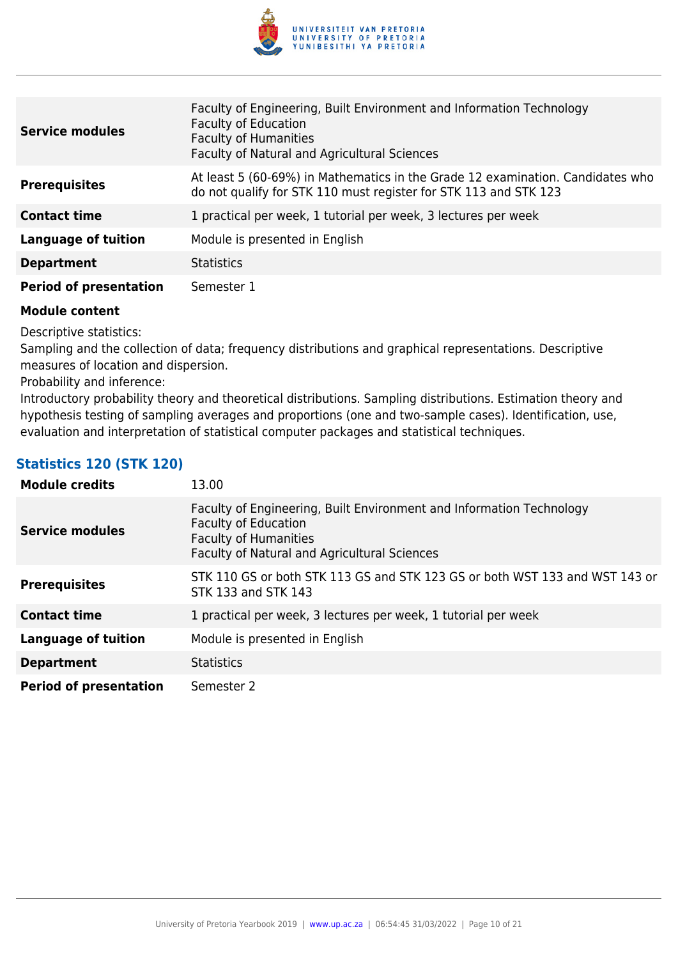

| <b>Service modules</b>        | Faculty of Engineering, Built Environment and Information Technology<br><b>Faculty of Education</b><br><b>Faculty of Humanities</b><br>Faculty of Natural and Agricultural Sciences |
|-------------------------------|-------------------------------------------------------------------------------------------------------------------------------------------------------------------------------------|
| <b>Prerequisites</b>          | At least 5 (60-69%) in Mathematics in the Grade 12 examination. Candidates who<br>do not qualify for STK 110 must register for STK 113 and STK 123                                  |
| <b>Contact time</b>           | 1 practical per week, 1 tutorial per week, 3 lectures per week                                                                                                                      |
| <b>Language of tuition</b>    | Module is presented in English                                                                                                                                                      |
| <b>Department</b>             | <b>Statistics</b>                                                                                                                                                                   |
| <b>Period of presentation</b> | Semester 1                                                                                                                                                                          |

Descriptive statistics:

Sampling and the collection of data; frequency distributions and graphical representations. Descriptive measures of location and dispersion.

Probability and inference:

Introductory probability theory and theoretical distributions. Sampling distributions. Estimation theory and hypothesis testing of sampling averages and proportions (one and two-sample cases). Identification, use, evaluation and interpretation of statistical computer packages and statistical techniques.

## **Statistics 120 (STK 120)**

| <b>Module credits</b>         | 13.00                                                                                                                                                                               |
|-------------------------------|-------------------------------------------------------------------------------------------------------------------------------------------------------------------------------------|
| <b>Service modules</b>        | Faculty of Engineering, Built Environment and Information Technology<br><b>Faculty of Education</b><br><b>Faculty of Humanities</b><br>Faculty of Natural and Agricultural Sciences |
| <b>Prerequisites</b>          | STK 110 GS or both STK 113 GS and STK 123 GS or both WST 133 and WST 143 or<br>STK 133 and STK 143                                                                                  |
| <b>Contact time</b>           | 1 practical per week, 3 lectures per week, 1 tutorial per week                                                                                                                      |
| <b>Language of tuition</b>    | Module is presented in English                                                                                                                                                      |
| <b>Department</b>             | <b>Statistics</b>                                                                                                                                                                   |
| <b>Period of presentation</b> | Semester 2                                                                                                                                                                          |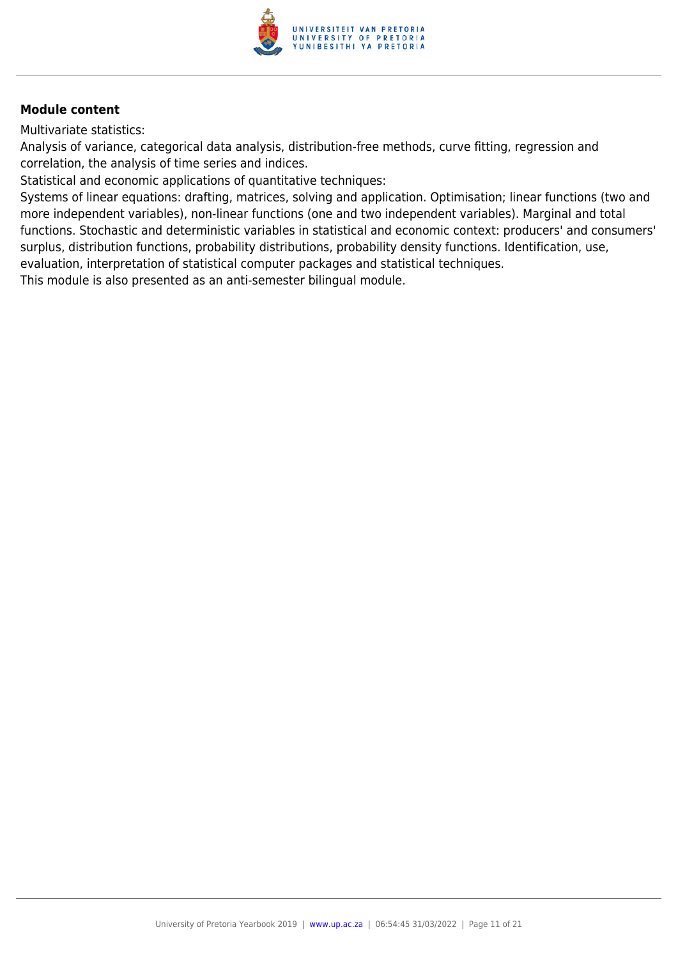

Multivariate statistics:

Analysis of variance, categorical data analysis, distribution-free methods, curve fitting, regression and correlation, the analysis of time series and indices.

Statistical and economic applications of quantitative techniques:

Systems of linear equations: drafting, matrices, solving and application. Optimisation; linear functions (two and more independent variables), non-linear functions (one and two independent variables). Marginal and total functions. Stochastic and deterministic variables in statistical and economic context: producers' and consumers' surplus, distribution functions, probability distributions, probability density functions. Identification, use, evaluation, interpretation of statistical computer packages and statistical techniques.

This module is also presented as an anti-semester bilingual module.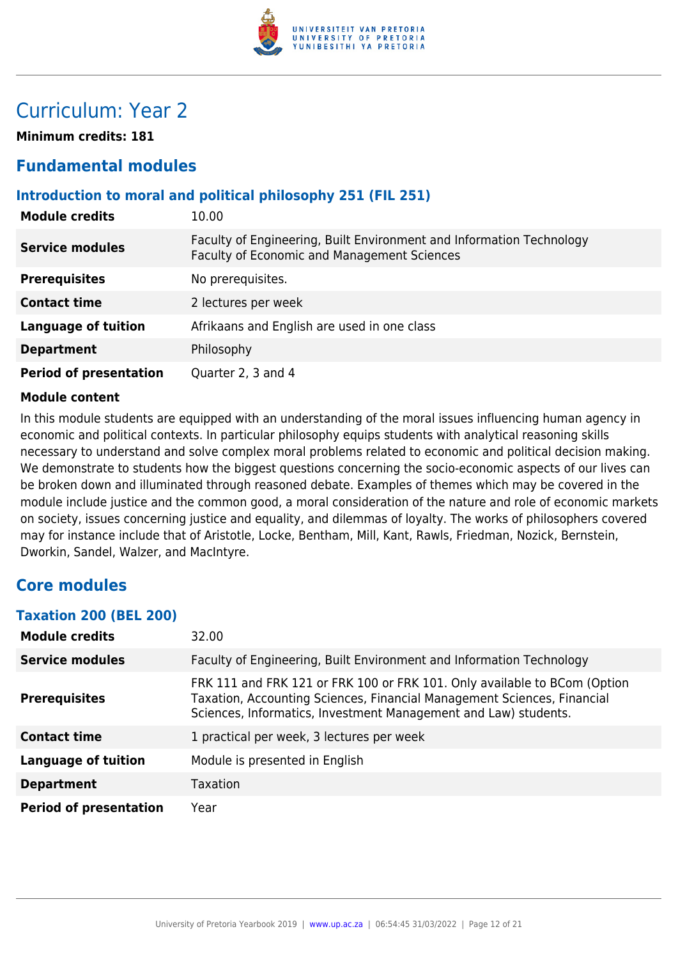

## Curriculum: Year 2

**Minimum credits: 181**

## **Fundamental modules**

### **Introduction to moral and political philosophy 251 (FIL 251)**

| <b>Module credits</b>         | 10.00                                                                                                               |
|-------------------------------|---------------------------------------------------------------------------------------------------------------------|
| <b>Service modules</b>        | Faculty of Engineering, Built Environment and Information Technology<br>Faculty of Economic and Management Sciences |
| <b>Prerequisites</b>          | No prerequisites.                                                                                                   |
| <b>Contact time</b>           | 2 lectures per week                                                                                                 |
| <b>Language of tuition</b>    | Afrikaans and English are used in one class                                                                         |
| <b>Department</b>             | Philosophy                                                                                                          |
| <b>Period of presentation</b> | Quarter 2, 3 and 4                                                                                                  |

#### **Module content**

In this module students are equipped with an understanding of the moral issues influencing human agency in economic and political contexts. In particular philosophy equips students with analytical reasoning skills necessary to understand and solve complex moral problems related to economic and political decision making. We demonstrate to students how the biggest questions concerning the socio-economic aspects of our lives can be broken down and illuminated through reasoned debate. Examples of themes which may be covered in the module include justice and the common good, a moral consideration of the nature and role of economic markets on society, issues concerning justice and equality, and dilemmas of loyalty. The works of philosophers covered may for instance include that of Aristotle, Locke, Bentham, Mill, Kant, Rawls, Friedman, Nozick, Bernstein, Dworkin, Sandel, Walzer, and MacIntyre.

## **Core modules**

#### **Taxation 200 (BEL 200)**

| <b>Module credits</b>         | 32.00                                                                                                                                                                                                                   |
|-------------------------------|-------------------------------------------------------------------------------------------------------------------------------------------------------------------------------------------------------------------------|
| <b>Service modules</b>        | Faculty of Engineering, Built Environment and Information Technology                                                                                                                                                    |
| <b>Prerequisites</b>          | FRK 111 and FRK 121 or FRK 100 or FRK 101. Only available to BCom (Option<br>Taxation, Accounting Sciences, Financial Management Sciences, Financial<br>Sciences, Informatics, Investment Management and Law) students. |
| <b>Contact time</b>           | 1 practical per week, 3 lectures per week                                                                                                                                                                               |
| <b>Language of tuition</b>    | Module is presented in English                                                                                                                                                                                          |
| <b>Department</b>             | <b>Taxation</b>                                                                                                                                                                                                         |
| <b>Period of presentation</b> | Year                                                                                                                                                                                                                    |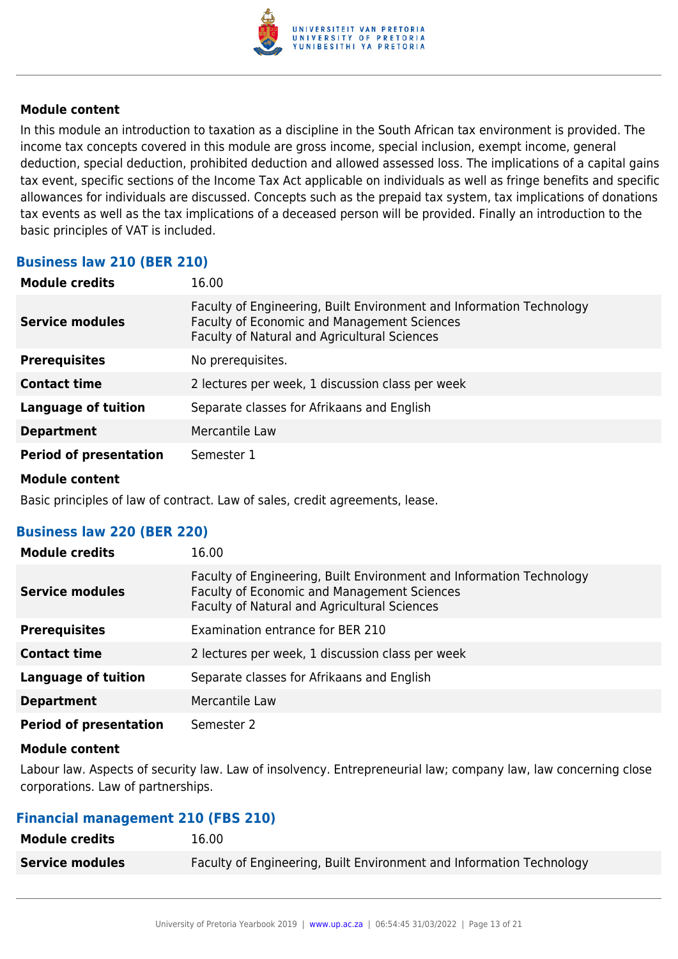

In this module an introduction to taxation as a discipline in the South African tax environment is provided. The income tax concepts covered in this module are gross income, special inclusion, exempt income, general deduction, special deduction, prohibited deduction and allowed assessed loss. The implications of a capital gains tax event, specific sections of the Income Tax Act applicable on individuals as well as fringe benefits and specific allowances for individuals are discussed. Concepts such as the prepaid tax system, tax implications of donations tax events as well as the tax implications of a deceased person will be provided. Finally an introduction to the basic principles of VAT is included.

## **Business law 210 (BER 210)**

| <b>Module credits</b>         | 16.00                                                                                                                                                                      |
|-------------------------------|----------------------------------------------------------------------------------------------------------------------------------------------------------------------------|
| <b>Service modules</b>        | Faculty of Engineering, Built Environment and Information Technology<br><b>Faculty of Economic and Management Sciences</b><br>Faculty of Natural and Agricultural Sciences |
| <b>Prerequisites</b>          | No prerequisites.                                                                                                                                                          |
| <b>Contact time</b>           | 2 lectures per week, 1 discussion class per week                                                                                                                           |
| Language of tuition           | Separate classes for Afrikaans and English                                                                                                                                 |
| <b>Department</b>             | Mercantile Law                                                                                                                                                             |
| <b>Period of presentation</b> | Semester 1                                                                                                                                                                 |
|                               |                                                                                                                                                                            |

#### **Module content**

Basic principles of law of contract. Law of sales, credit agreements, lease.

#### **Business law 220 (BER 220)**

| <b>Module credits</b>         | 16.00                                                                                                                                                                      |
|-------------------------------|----------------------------------------------------------------------------------------------------------------------------------------------------------------------------|
| Service modules               | Faculty of Engineering, Built Environment and Information Technology<br><b>Faculty of Economic and Management Sciences</b><br>Faculty of Natural and Agricultural Sciences |
| <b>Prerequisites</b>          | Examination entrance for BER 210                                                                                                                                           |
| <b>Contact time</b>           | 2 lectures per week, 1 discussion class per week                                                                                                                           |
| Language of tuition           | Separate classes for Afrikaans and English                                                                                                                                 |
| <b>Department</b>             | Mercantile Law                                                                                                                                                             |
| <b>Period of presentation</b> | Semester 2                                                                                                                                                                 |

#### **Module content**

Labour law. Aspects of security law. Law of insolvency. Entrepreneurial law; company law, law concerning close corporations. Law of partnerships.

#### **Financial management 210 (FBS 210)**

| <b>Module credits</b>  | 16.00                                                                |
|------------------------|----------------------------------------------------------------------|
| <b>Service modules</b> | Faculty of Engineering, Built Environment and Information Technology |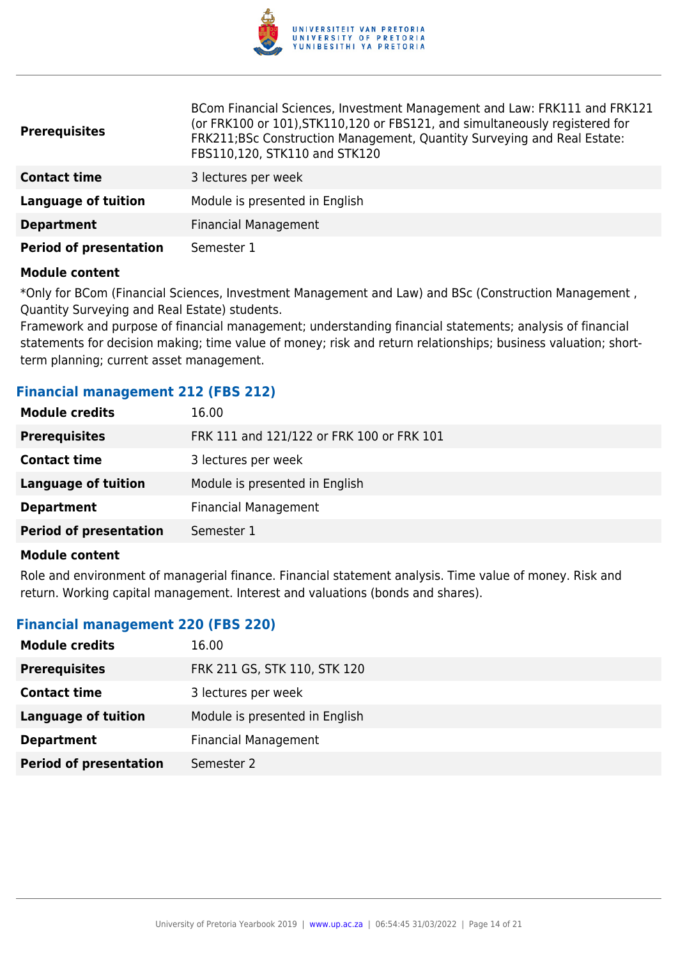

| <b>Prerequisites</b>          | BCom Financial Sciences, Investment Management and Law: FRK111 and FRK121<br>(or FRK100 or 101), STK110, 120 or FBS121, and simultaneously registered for<br>FRK211;BSc Construction Management, Quantity Surveying and Real Estate:<br>FBS110,120, STK110 and STK120 |
|-------------------------------|-----------------------------------------------------------------------------------------------------------------------------------------------------------------------------------------------------------------------------------------------------------------------|
| <b>Contact time</b>           | 3 lectures per week                                                                                                                                                                                                                                                   |
| <b>Language of tuition</b>    | Module is presented in English                                                                                                                                                                                                                                        |
| <b>Department</b>             | <b>Financial Management</b>                                                                                                                                                                                                                                           |
| <b>Period of presentation</b> | Semester 1                                                                                                                                                                                                                                                            |

\*Only for BCom (Financial Sciences, Investment Management and Law) and BSc (Construction Management , Quantity Surveying and Real Estate) students.

Framework and purpose of financial management; understanding financial statements; analysis of financial statements for decision making; time value of money; risk and return relationships; business valuation; shortterm planning; current asset management.

### **Financial management 212 (FBS 212)**

| <b>Module credits</b>         | 16.00                                     |
|-------------------------------|-------------------------------------------|
| <b>Prerequisites</b>          | FRK 111 and 121/122 or FRK 100 or FRK 101 |
| <b>Contact time</b>           | 3 lectures per week                       |
| Language of tuition           | Module is presented in English            |
| <b>Department</b>             | <b>Financial Management</b>               |
| <b>Period of presentation</b> | Semester 1                                |
|                               |                                           |

#### **Module content**

Role and environment of managerial finance. Financial statement analysis. Time value of money. Risk and return. Working capital management. Interest and valuations (bonds and shares).

#### **Financial management 220 (FBS 220)**

| <b>Module credits</b>         | 16.00                          |
|-------------------------------|--------------------------------|
| <b>Prerequisites</b>          | FRK 211 GS, STK 110, STK 120   |
| <b>Contact time</b>           | 3 lectures per week            |
| Language of tuition           | Module is presented in English |
| <b>Department</b>             | <b>Financial Management</b>    |
| <b>Period of presentation</b> | Semester 2                     |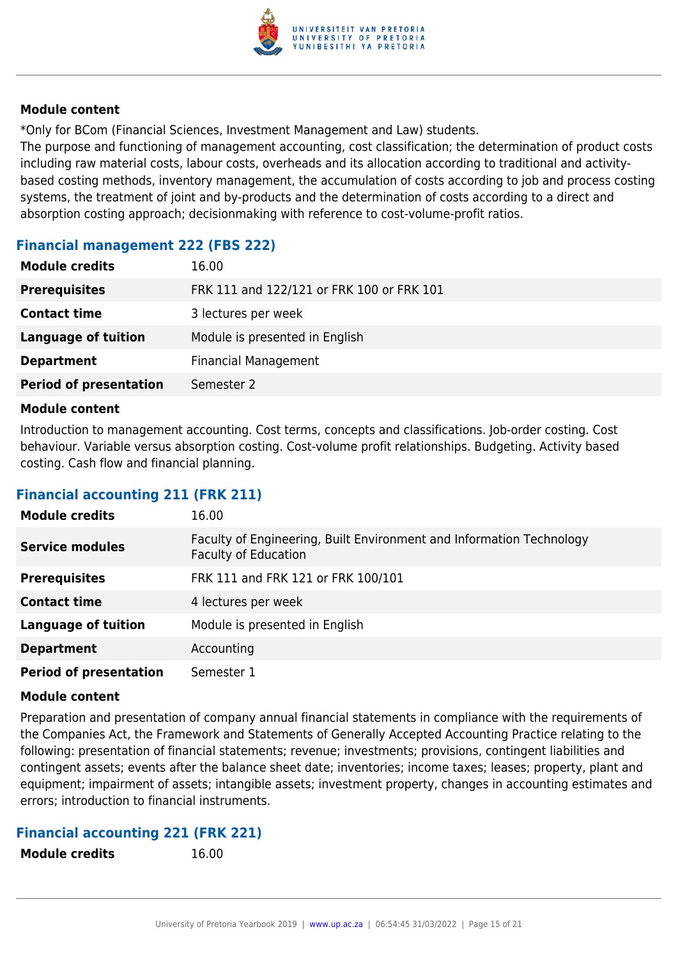

\*Only for BCom (Financial Sciences, Investment Management and Law) students.

The purpose and functioning of management accounting, cost classification; the determination of product costs including raw material costs, labour costs, overheads and its allocation according to traditional and activitybased costing methods, inventory management, the accumulation of costs according to job and process costing systems, the treatment of joint and by-products and the determination of costs according to a direct and absorption costing approach; decisionmaking with reference to cost-volume-profit ratios.

## **Financial management 222 (FBS 222)**

| 16.00                                     |
|-------------------------------------------|
| FRK 111 and 122/121 or FRK 100 or FRK 101 |
| 3 lectures per week                       |
| Module is presented in English            |
| <b>Financial Management</b>               |
| Semester 2                                |
|                                           |

#### **Module content**

Introduction to management accounting. Cost terms, concepts and classifications. Job-order costing. Cost behaviour. Variable versus absorption costing. Cost-volume profit relationships. Budgeting. Activity based costing. Cash flow and financial planning.

## **Financial accounting 211 (FRK 211)**

| <b>Module credits</b>         | 16.00                                                                                               |
|-------------------------------|-----------------------------------------------------------------------------------------------------|
| <b>Service modules</b>        | Faculty of Engineering, Built Environment and Information Technology<br><b>Faculty of Education</b> |
| <b>Prerequisites</b>          | FRK 111 and FRK 121 or FRK 100/101                                                                  |
| <b>Contact time</b>           | 4 lectures per week                                                                                 |
| <b>Language of tuition</b>    | Module is presented in English                                                                      |
| <b>Department</b>             | Accounting                                                                                          |
| <b>Period of presentation</b> | Semester 1                                                                                          |

#### **Module content**

Preparation and presentation of company annual financial statements in compliance with the requirements of the Companies Act, the Framework and Statements of Generally Accepted Accounting Practice relating to the following: presentation of financial statements; revenue; investments; provisions, contingent liabilities and contingent assets; events after the balance sheet date; inventories; income taxes; leases; property, plant and equipment; impairment of assets; intangible assets; investment property, changes in accounting estimates and errors; introduction to financial instruments.

## **Financial accounting 221 (FRK 221)**

- **Module credits** 16.00
-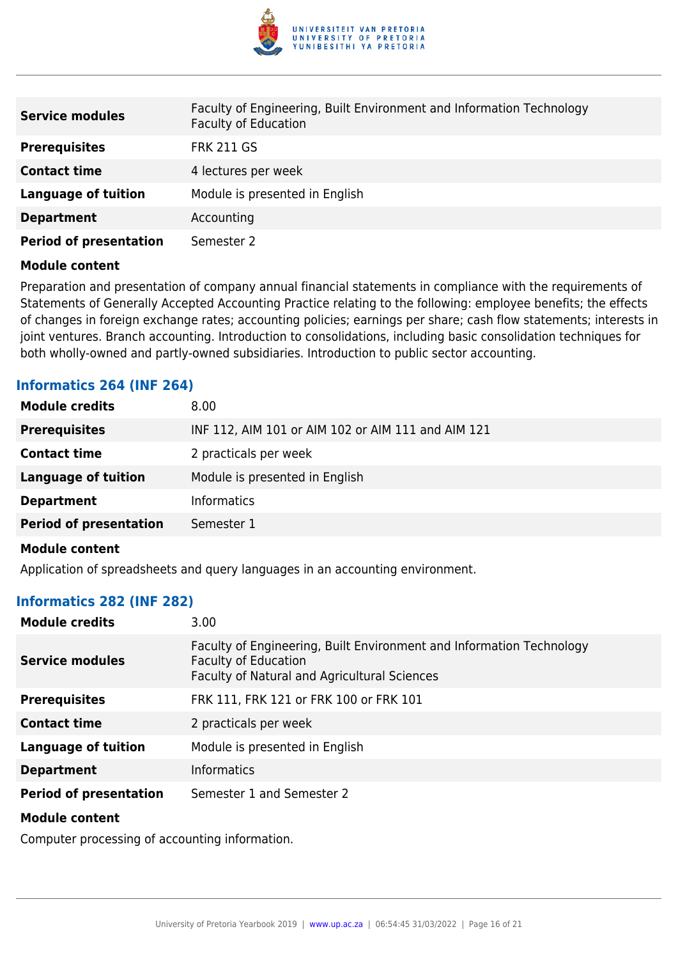

| <b>Service modules</b>        | Faculty of Engineering, Built Environment and Information Technology<br><b>Faculty of Education</b> |
|-------------------------------|-----------------------------------------------------------------------------------------------------|
| <b>Prerequisites</b>          | <b>FRK 211 GS</b>                                                                                   |
| <b>Contact time</b>           | 4 lectures per week                                                                                 |
| <b>Language of tuition</b>    | Module is presented in English                                                                      |
| <b>Department</b>             | Accounting                                                                                          |
| <b>Period of presentation</b> | Semester 2                                                                                          |

Preparation and presentation of company annual financial statements in compliance with the requirements of Statements of Generally Accepted Accounting Practice relating to the following: employee benefits; the effects of changes in foreign exchange rates; accounting policies; earnings per share; cash flow statements; interests in joint ventures. Branch accounting. Introduction to consolidations, including basic consolidation techniques for both wholly-owned and partly-owned subsidiaries. Introduction to public sector accounting.

## **Informatics 264 (INF 264)**

| <b>Module credits</b>         | 8.00                                               |
|-------------------------------|----------------------------------------------------|
| <b>Prerequisites</b>          | INF 112, AIM 101 or AIM 102 or AIM 111 and AIM 121 |
| <b>Contact time</b>           | 2 practicals per week                              |
| <b>Language of tuition</b>    | Module is presented in English                     |
| <b>Department</b>             | <b>Informatics</b>                                 |
| <b>Period of presentation</b> | Semester 1                                         |
|                               |                                                    |

#### **Module content**

Application of spreadsheets and query languages in an accounting environment.

#### **Informatics 282 (INF 282)**

| <b>Module credits</b>         | 3.00                                                                                                                                                |
|-------------------------------|-----------------------------------------------------------------------------------------------------------------------------------------------------|
| Service modules               | Faculty of Engineering, Built Environment and Information Technology<br><b>Faculty of Education</b><br>Faculty of Natural and Agricultural Sciences |
| <b>Prerequisites</b>          | FRK 111, FRK 121 or FRK 100 or FRK 101                                                                                                              |
| <b>Contact time</b>           | 2 practicals per week                                                                                                                               |
| <b>Language of tuition</b>    | Module is presented in English                                                                                                                      |
| <b>Department</b>             | <b>Informatics</b>                                                                                                                                  |
| <b>Period of presentation</b> | Semester 1 and Semester 2                                                                                                                           |
| <b>Module content</b>         |                                                                                                                                                     |

Computer processing of accounting information.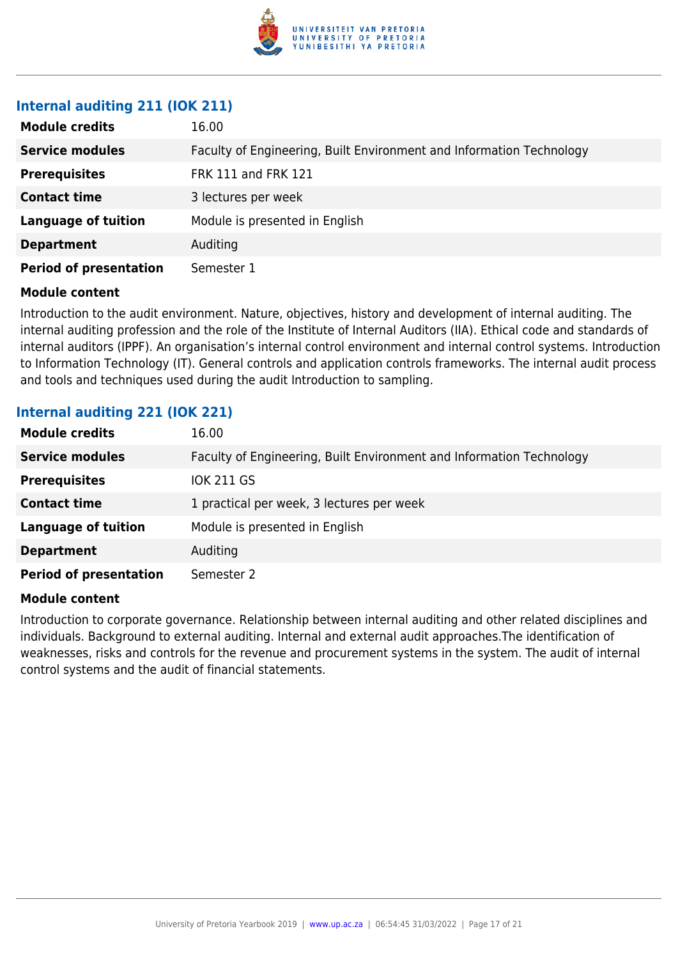

### **Internal auditing 211 (IOK 211)**

| <b>Module credits</b>         | 16.00                                                                |
|-------------------------------|----------------------------------------------------------------------|
| <b>Service modules</b>        | Faculty of Engineering, Built Environment and Information Technology |
| <b>Prerequisites</b>          | <b>FRK 111 and FRK 121</b>                                           |
| <b>Contact time</b>           | 3 lectures per week                                                  |
| <b>Language of tuition</b>    | Module is presented in English                                       |
| <b>Department</b>             | Auditing                                                             |
| <b>Period of presentation</b> | Semester 1                                                           |

#### **Module content**

Introduction to the audit environment. Nature, objectives, history and development of internal auditing. The internal auditing profession and the role of the Institute of Internal Auditors (IIA). Ethical code and standards of internal auditors (IPPF). An organisation's internal control environment and internal control systems. Introduction to Information Technology (IT). General controls and application controls frameworks. The internal audit process and tools and techniques used during the audit Introduction to sampling.

### **Internal auditing 221 (IOK 221)**

| <b>Module credits</b>         | 16.00                                                                |
|-------------------------------|----------------------------------------------------------------------|
| <b>Service modules</b>        | Faculty of Engineering, Built Environment and Information Technology |
| <b>Prerequisites</b>          | <b>IOK 211 GS</b>                                                    |
| <b>Contact time</b>           | 1 practical per week, 3 lectures per week                            |
| <b>Language of tuition</b>    | Module is presented in English                                       |
| <b>Department</b>             | Auditing                                                             |
| <b>Period of presentation</b> | Semester 2                                                           |

#### **Module content**

Introduction to corporate governance. Relationship between internal auditing and other related disciplines and individuals. Background to external auditing. Internal and external audit approaches.The identification of weaknesses, risks and controls for the revenue and procurement systems in the system. The audit of internal control systems and the audit of financial statements.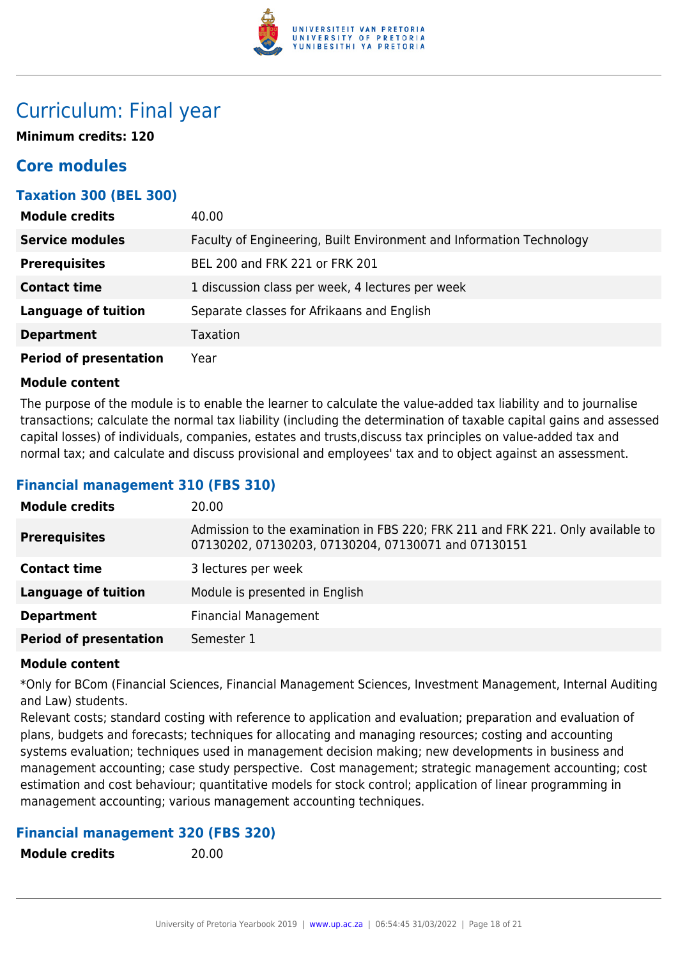

## Curriculum: Final year

**Minimum credits: 120**

## **Core modules**

## **Taxation 300 (BEL 300)**

| <b>Module credits</b>         | 40.00                                                                |
|-------------------------------|----------------------------------------------------------------------|
| <b>Service modules</b>        | Faculty of Engineering, Built Environment and Information Technology |
| <b>Prerequisites</b>          | BEL 200 and FRK 221 or FRK 201                                       |
| <b>Contact time</b>           | 1 discussion class per week, 4 lectures per week                     |
| <b>Language of tuition</b>    | Separate classes for Afrikaans and English                           |
| <b>Department</b>             | <b>Taxation</b>                                                      |
| <b>Period of presentation</b> | Year                                                                 |

#### **Module content**

The purpose of the module is to enable the learner to calculate the value-added tax liability and to journalise transactions; calculate the normal tax liability (including the determination of taxable capital gains and assessed capital losses) of individuals, companies, estates and trusts,discuss tax principles on value-added tax and normal tax; and calculate and discuss provisional and employees' tax and to object against an assessment.

## **Financial management 310 (FBS 310)**

| <b>Module credits</b>         | 20.00                                                                                                                                  |
|-------------------------------|----------------------------------------------------------------------------------------------------------------------------------------|
| <b>Prerequisites</b>          | Admission to the examination in FBS 220; FRK 211 and FRK 221. Only available to<br>07130202, 07130203, 07130204, 07130071 and 07130151 |
| <b>Contact time</b>           | 3 lectures per week                                                                                                                    |
| <b>Language of tuition</b>    | Module is presented in English                                                                                                         |
| <b>Department</b>             | <b>Financial Management</b>                                                                                                            |
| <b>Period of presentation</b> | Semester 1                                                                                                                             |
|                               |                                                                                                                                        |

#### **Module content**

\*Only for BCom (Financial Sciences, Financial Management Sciences, Investment Management, Internal Auditing and Law) students.

Relevant costs; standard costing with reference to application and evaluation; preparation and evaluation of plans, budgets and forecasts; techniques for allocating and managing resources; costing and accounting systems evaluation; techniques used in management decision making; new developments in business and management accounting; case study perspective. Cost management; strategic management accounting; cost estimation and cost behaviour; quantitative models for stock control; application of linear programming in management accounting; various management accounting techniques.

## **Financial management 320 (FBS 320)**

**Module credits** 20.00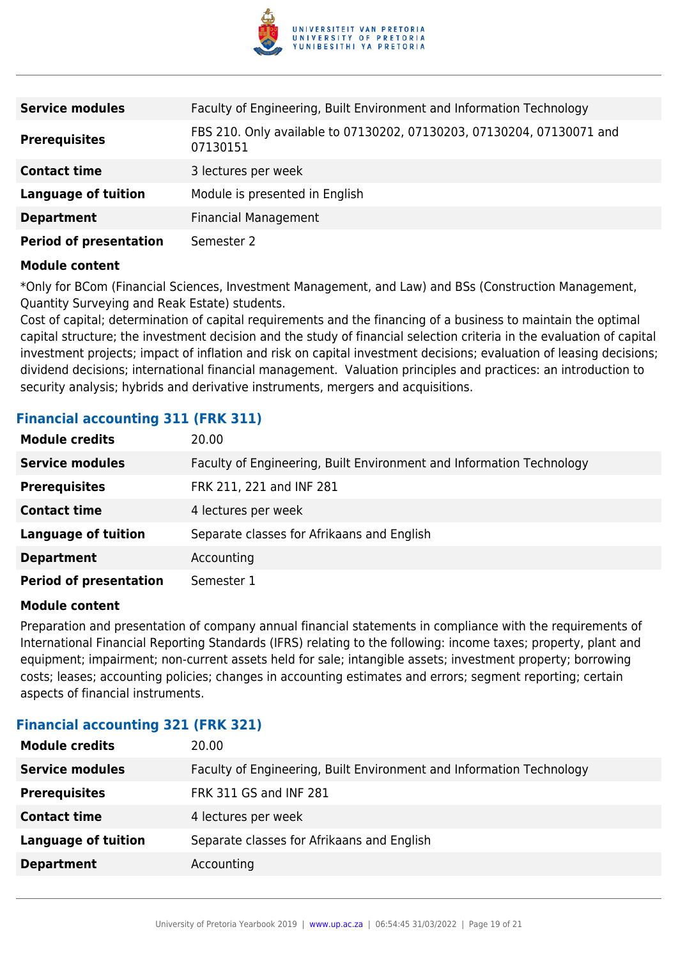

| <b>Service modules</b>        | Faculty of Engineering, Built Environment and Information Technology              |
|-------------------------------|-----------------------------------------------------------------------------------|
| <b>Prerequisites</b>          | FBS 210. Only available to 07130202, 07130203, 07130204, 07130071 and<br>07130151 |
| <b>Contact time</b>           | 3 lectures per week                                                               |
| <b>Language of tuition</b>    | Module is presented in English                                                    |
| <b>Department</b>             | <b>Financial Management</b>                                                       |
| <b>Period of presentation</b> | Semester 2                                                                        |

\*Only for BCom (Financial Sciences, Investment Management, and Law) and BSs (Construction Management, Quantity Surveying and Reak Estate) students.

Cost of capital; determination of capital requirements and the financing of a business to maintain the optimal capital structure; the investment decision and the study of financial selection criteria in the evaluation of capital investment projects; impact of inflation and risk on capital investment decisions; evaluation of leasing decisions; dividend decisions; international financial management. Valuation principles and practices: an introduction to security analysis; hybrids and derivative instruments, mergers and acquisitions.

## **Financial accounting 311 (FRK 311)**

| <b>Module credits</b>         | 20.00                                                                |
|-------------------------------|----------------------------------------------------------------------|
| <b>Service modules</b>        | Faculty of Engineering, Built Environment and Information Technology |
| <b>Prerequisites</b>          | FRK 211, 221 and INF 281                                             |
| <b>Contact time</b>           | 4 lectures per week                                                  |
| <b>Language of tuition</b>    | Separate classes for Afrikaans and English                           |
| <b>Department</b>             | Accounting                                                           |
| <b>Period of presentation</b> | Semester 1                                                           |

#### **Module content**

Preparation and presentation of company annual financial statements in compliance with the requirements of International Financial Reporting Standards (IFRS) relating to the following: income taxes; property, plant and equipment; impairment; non-current assets held for sale; intangible assets; investment property; borrowing costs; leases; accounting policies; changes in accounting estimates and errors; segment reporting; certain aspects of financial instruments.

## **Financial accounting 321 (FRK 321)**

| <b>Module credits</b>      | 20.00                                                                |
|----------------------------|----------------------------------------------------------------------|
| <b>Service modules</b>     | Faculty of Engineering, Built Environment and Information Technology |
| <b>Prerequisites</b>       | <b>FRK 311 GS and INF 281</b>                                        |
| <b>Contact time</b>        | 4 lectures per week                                                  |
| <b>Language of tuition</b> | Separate classes for Afrikaans and English                           |
| <b>Department</b>          | Accounting                                                           |
|                            |                                                                      |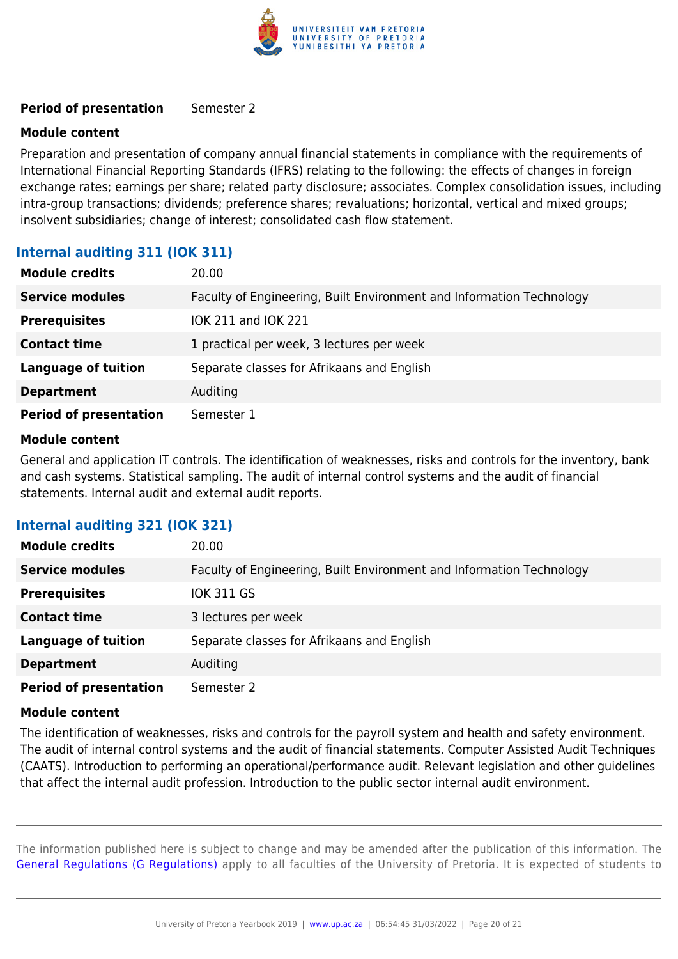

#### **Period of presentation** Semester 2

#### **Module content**

Preparation and presentation of company annual financial statements in compliance with the requirements of International Financial Reporting Standards (IFRS) relating to the following: the effects of changes in foreign exchange rates; earnings per share; related party disclosure; associates. Complex consolidation issues, including intra-group transactions; dividends; preference shares; revaluations; horizontal, vertical and mixed groups; insolvent subsidiaries; change of interest; consolidated cash flow statement.

## **Internal auditing 311 (IOK 311)**

| <b>Module credits</b>         | 20.00                                                                |
|-------------------------------|----------------------------------------------------------------------|
| <b>Service modules</b>        | Faculty of Engineering, Built Environment and Information Technology |
| <b>Prerequisites</b>          | IOK 211 and IOK 221                                                  |
| <b>Contact time</b>           | 1 practical per week, 3 lectures per week                            |
| <b>Language of tuition</b>    | Separate classes for Afrikaans and English                           |
| <b>Department</b>             | Auditing                                                             |
| <b>Period of presentation</b> | Semester 1                                                           |

#### **Module content**

General and application IT controls. The identification of weaknesses, risks and controls for the inventory, bank and cash systems. Statistical sampling. The audit of internal control systems and the audit of financial statements. Internal audit and external audit reports.

## **Internal auditing 321 (IOK 321)**

| <b>Module credits</b>         | 20.00                                                                |
|-------------------------------|----------------------------------------------------------------------|
| <b>Service modules</b>        | Faculty of Engineering, Built Environment and Information Technology |
| <b>Prerequisites</b>          | <b>IOK 311 GS</b>                                                    |
| <b>Contact time</b>           | 3 lectures per week                                                  |
| <b>Language of tuition</b>    | Separate classes for Afrikaans and English                           |
| <b>Department</b>             | Auditing                                                             |
| <b>Period of presentation</b> | Semester 2                                                           |

#### **Module content**

The identification of weaknesses, risks and controls for the payroll system and health and safety environment. The audit of internal control systems and the audit of financial statements. Computer Assisted Audit Techniques (CAATS). Introduction to performing an operational/performance audit. Relevant legislation and other guidelines that affect the internal audit profession. Introduction to the public sector internal audit environment.

The information published here is subject to change and may be amended after the publication of this information. The [General Regulations \(G Regulations\)](https://www.up.ac.za/yearbooks/2019/rules/view/REG) apply to all faculties of the University of Pretoria. It is expected of students to